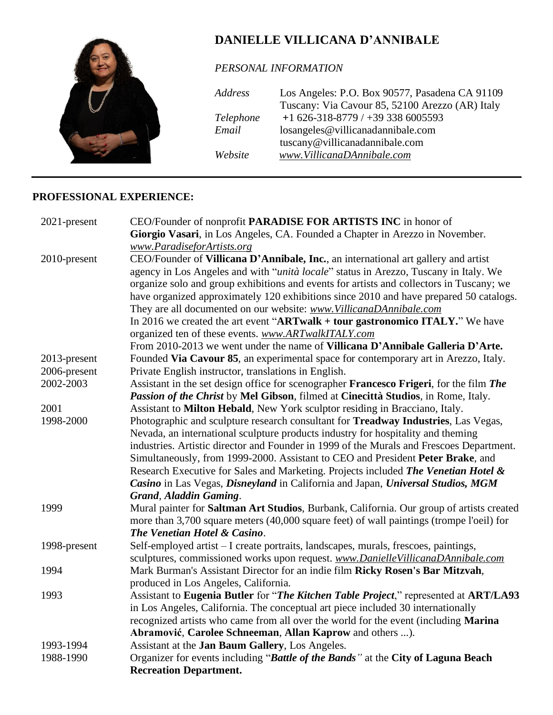

*PERSONAL INFORMATION*

| Address   | Los Angeles: P.O. Box 90577, Pasadena CA 91109  |
|-----------|-------------------------------------------------|
|           | Tuscany: Via Cavour 85, 52100 Arezzo (AR) Italy |
| Telephone | $+1626-318-8779$ / $+393386005593$              |
| Email     | losangeles@villicanadannibale.com               |
|           | tuscany@villicanadannibale.com                  |
| Website   | www.VillicanaDAnnibale.com                      |

#### **PROFESSIONAL EXPERIENCE:**

| 2021-present | CEO/Founder of nonprofit PARADISE FOR ARTISTS INC in honor of                                 |
|--------------|-----------------------------------------------------------------------------------------------|
|              | Giorgio Vasari, in Los Angeles, CA. Founded a Chapter in Arezzo in November.                  |
|              | www.ParadiseforArtists.org                                                                    |
| 2010-present | CEO/Founder of Villicana D'Annibale, Inc., an international art gallery and artist            |
|              | agency in Los Angeles and with " <i>unità locale</i> " status in Arezzo, Tuscany in Italy. We |
|              | organize solo and group exhibitions and events for artists and collectors in Tuscany; we      |
|              | have organized approximately 120 exhibitions since 2010 and have prepared 50 catalogs.        |
|              | They are all documented on our website: www. VillicanaDAnnibale.com                           |
|              | In 2016 we created the art event "ARTwalk + tour gastronomico ITALY." We have                 |
|              | organized ten of these events. www.ARTwalkITALY.com                                           |
|              | From 2010-2013 we went under the name of Villicana D'Annibale Galleria D'Arte.                |
| 2013-present | Founded Via Cavour 85, an experimental space for contemporary art in Arezzo, Italy.           |
| 2006-present | Private English instructor, translations in English.                                          |
| 2002-2003    | Assistant in the set design office for scenographer Francesco Frigeri, for the film The       |
|              | Passion of the Christ by Mel Gibson, filmed at Cinecittà Studios, in Rome, Italy.             |
| 2001         | Assistant to Milton Hebald, New York sculptor residing in Bracciano, Italy.                   |
| 1998-2000    | Photographic and sculpture research consultant for <b>Treadway Industries</b> , Las Vegas,    |
|              | Nevada, an international sculpture products industry for hospitality and theming              |
|              | industries. Artistic director and Founder in 1999 of the Murals and Frescoes Department.      |
|              | Simultaneously, from 1999-2000. Assistant to CEO and President Peter Brake, and               |
|              | Research Executive for Sales and Marketing. Projects included The Venetian Hotel &            |
|              | Casino in Las Vegas, Disneyland in California and Japan, Universal Studios, MGM               |
|              | Grand, Aladdin Gaming.                                                                        |
| 1999         | Mural painter for Saltman Art Studios, Burbank, California. Our group of artists created      |
|              | more than 3,700 square meters (40,000 square feet) of wall paintings (trompe l'oeil) for      |
|              | The Venetian Hotel & Casino.                                                                  |
| 1998-present | Self-employed artist - I create portraits, landscapes, murals, frescoes, paintings,           |
|              | sculptures, commissioned works upon request. www.DanielleVillicanaDAnnibale.com               |
| 1994         | Mark Burman's Assistant Director for an indie film Ricky Rosen's Bar Mitzvah,                 |
|              | produced in Los Angeles, California.                                                          |
| 1993         | Assistant to Eugenia Butler for "The Kitchen Table Project," represented at ART/LA93          |
|              | in Los Angeles, California. The conceptual art piece included 30 internationally              |
|              | recognized artists who came from all over the world for the event (including Marina           |
|              | Abramović, Carolee Schneeman, Allan Kaprow and others ).                                      |
| 1993-1994    | Assistant at the Jan Baum Gallery, Los Angeles.                                               |
| 1988-1990    | Organizer for events including "Battle of the Bands" at the City of Laguna Beach              |
|              | <b>Recreation Department.</b>                                                                 |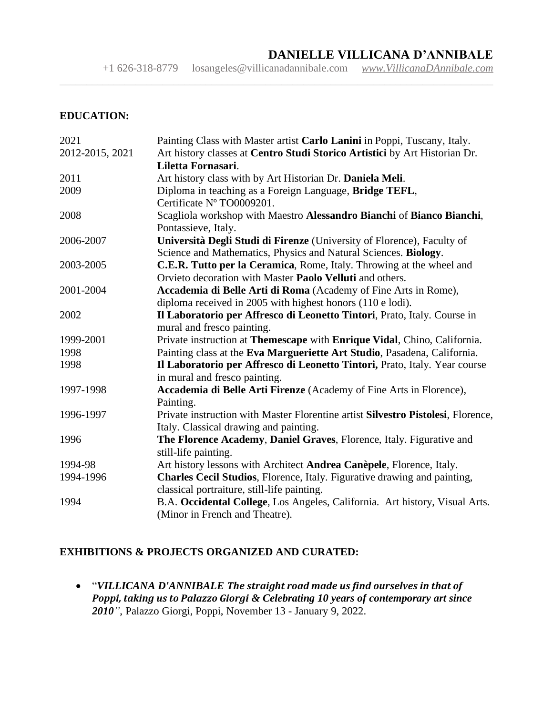+1 626-318-8779 [losangeles@villicanadannibale.com](mailto:losangeles@villicanadannibale.com) *[www.VillicanaDAnnibale.com](http://www.villicanadannibale.com/)*

 $\_$  , and the contribution of the contribution of the contribution of the contribution of the contribution of  $\mathcal{L}$ 

#### **EDUCATION:**

| 2021            | Painting Class with Master artist Carlo Lanini in Poppi, Tuscany, Italy.         |
|-----------------|----------------------------------------------------------------------------------|
| 2012-2015, 2021 | Art history classes at Centro Studi Storico Artistici by Art Historian Dr.       |
|                 | Liletta Fornasari.                                                               |
| 2011            | Art history class with by Art Historian Dr. Daniela Meli.                        |
| 2009            | Diploma in teaching as a Foreign Language, Bridge TEFL,                          |
|                 | Certificate Nº TO0009201.                                                        |
| 2008            | Scagliola workshop with Maestro Alessandro Bianchi of Bianco Bianchi,            |
|                 | Pontassieve, Italy.                                                              |
| 2006-2007       | Università Degli Studi di Firenze (University of Florence), Faculty of           |
|                 | Science and Mathematics, Physics and Natural Sciences. Biology.                  |
| 2003-2005       | C.E.R. Tutto per la Ceramica, Rome, Italy. Throwing at the wheel and             |
|                 | Orvieto decoration with Master <b>Paolo Velluti</b> and others.                  |
| 2001-2004       | Accademia di Belle Arti di Roma (Academy of Fine Arts in Rome),                  |
|                 | diploma received in 2005 with highest honors (110 e lodi).                       |
| 2002            | Il Laboratorio per Affresco di Leonetto Tintori, Prato, Italy. Course in         |
|                 | mural and fresco painting.                                                       |
| 1999-2001       | Private instruction at Themescape with Enrique Vidal, Chino, California.         |
| 1998            | Painting class at the Eva Margueriette Art Studio, Pasadena, California.         |
| 1998            | Il Laboratorio per Affresco di Leonetto Tintori, Prato, Italy. Year course       |
|                 | in mural and fresco painting.                                                    |
| 1997-1998       | Accademia di Belle Arti Firenze (Academy of Fine Arts in Florence),              |
|                 | Painting.                                                                        |
| 1996-1997       | Private instruction with Master Florentine artist Silvestro Pistolesi, Florence, |
|                 | Italy. Classical drawing and painting.                                           |
| 1996            | The Florence Academy, Daniel Graves, Florence, Italy. Figurative and             |
|                 | still-life painting.                                                             |
| 1994-98         | Art history lessons with Architect Andrea Canèpele, Florence, Italy.             |
| 1994-1996       | Charles Cecil Studios, Florence, Italy. Figurative drawing and painting,         |
|                 | classical portraiture, still-life painting.                                      |
| 1994            | B.A. Occidental College, Los Angeles, California. Art history, Visual Arts.      |
|                 | (Minor in French and Theatre).                                                   |

#### **EXHIBITIONS & PROJECTS ORGANIZED AND CURATED:**

• "*VILLICANA D'ANNIBALE The straight road made us find ourselves in that of Poppi, taking us to Palazzo Giorgi & Celebrating 10 years of contemporary art since 2010"*, Palazzo Giorgi, Poppi, November 13 - January 9, 2022.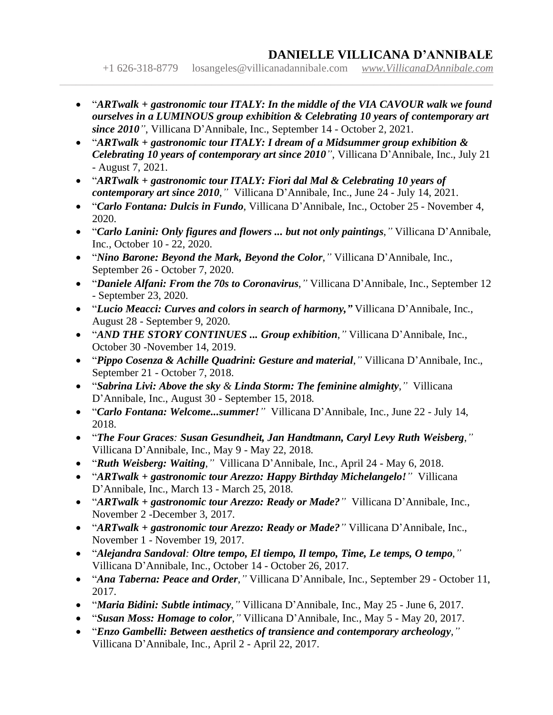+1 626-318-8779 [losangeles@villicanadannibale.com](mailto:losangeles@villicanadannibale.com) *[www.VillicanaDAnnibale.com](http://www.villicanadannibale.com/)*

• "*ARTwalk + gastronomic tour ITALY: In the middle of the VIA CAVOUR walk we found ourselves in a LUMINOUS group exhibition & Celebrating 10 years of contemporary art since 2010"*, Villicana D'Annibale, Inc., September 14 - October 2, 2021.

- "*ARTwalk + gastronomic tour ITALY: I dream of a Midsummer group exhibition & Celebrating 10 years of contemporary art since 2010"*, Villicana D'Annibale, Inc., July 21 - August 7, 2021.
- "*ARTwalk + gastronomic tour ITALY: Fiori dal Mal & Celebrating 10 years of contemporary art since 2010*,*"* Villicana D'Annibale, Inc., June 24 - July 14, 2021.
- "*Carlo Fontana: Dulcis in Fundo*, Villicana D'Annibale, Inc., October 25 November 4, 2020.
- "*Carlo Lanini: Only figures and flowers ... but not only paintings*,*"* Villicana D'Annibale, Inc., October 10 - 22, 2020.
- "*Nino Barone: Beyond the Mark, Beyond the Color*,*"* Villicana D'Annibale, Inc., September 26 - October 7, 2020.
- "*Daniele Alfani: From the 70s to Coronavirus*,*"* Villicana D'Annibale, Inc., September 12 - September 23, 2020.
- "*Lucio Meacci: Curves and colors in search of harmony,"* Villicana D'Annibale, Inc., August 28 - September 9, 2020.
- "*AND THE STORY CONTINUES ... Group exhibition*,*"* Villicana D'Annibale, Inc., October 30 -November 14, 2019.
- "*Pippo Cosenza & Achille Quadrini: Gesture and material*,*"* Villicana D'Annibale, Inc., September 21 - October 7, 2018.
- "*Sabrina Livi: Above the sky & Linda Storm: The feminine almighty*,*"* Villicana D'Annibale, Inc., August 30 - September 15, 2018.
- "*Carlo Fontana: Welcome...summer!"* Villicana D'Annibale, Inc., June 22 July 14, 2018.
- "*The Four Graces: Susan Gesundheit, Jan Handtmann, Caryl Levy Ruth Weisberg*,*"* Villicana D'Annibale, Inc., May 9 - May 22, 2018.
- "*Ruth Weisberg: Waiting*,*"* Villicana D'Annibale, Inc., April 24 May 6, 2018.
- "*ARTwalk + gastronomic tour Arezzo: Happy Birthday Michelangelo!"* Villicana D'Annibale, Inc., March 13 - March 25, 2018.
- "*ARTwalk + gastronomic tour Arezzo: Ready or Made?"* Villicana D'Annibale, Inc., November 2 -December 3, 2017.
- "*ARTwalk + gastronomic tour Arezzo: Ready or Made?"* Villicana D'Annibale, Inc., November 1 - November 19, 2017.
- "*Alejandra Sandoval: Oltre tempo, El tiempo, Il tempo, Time, Le temps, O tempo*,*"* Villicana D'Annibale, Inc., October 14 - October 26, 2017.
- "*Ana Taberna: Peace and Order*,*"* Villicana D'Annibale, Inc., September 29 October 11, 2017.
- "*Maria Bidini: Subtle intimacy*,*"* Villicana D'Annibale, Inc., May 25 June 6, 2017.
- "*Susan Moss: Homage to color*,*"* Villicana D'Annibale, Inc., May 5 May 20, 2017.
- "*Enzo Gambelli: Between aesthetics of transience and contemporary archeology*,*"* Villicana D'Annibale, Inc., April 2 - April 22, 2017.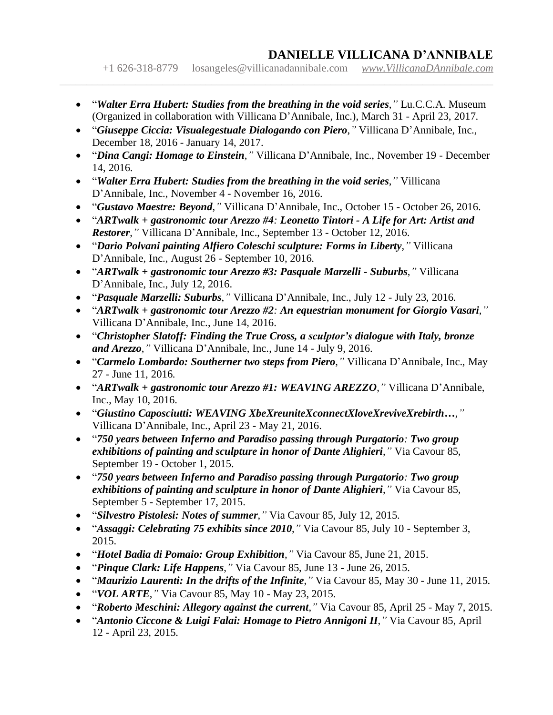+1 626-318-8779 [losangeles@villicanadannibale.com](mailto:losangeles@villicanadannibale.com) *[www.VillicanaDAnnibale.com](http://www.villicanadannibale.com/)*

• "*Walter Erra Hubert: Studies from the breathing in the void series*,*"* Lu.C.C.A. Museum (Organized in collaboration with Villicana D'Annibale, Inc.), March 31 - April 23, 2017.

- "*Giuseppe Ciccia: Visualegestuale Dialogando con Piero*,*"* Villicana D'Annibale, Inc., December 18, 2016 - January 14, 2017.
- "*Dina Cangi: Homage to Einstein*,*"* Villicana D'Annibale, Inc., November 19 December 14, 2016.
- "*Walter Erra Hubert: Studies from the breathing in the void series*,*"* Villicana D'Annibale, Inc., November 4 - November 16, 2016.
- "*Gustavo Maestre: Beyond*,*"* Villicana D'Annibale, Inc., October 15 October 26, 2016.
- "*ARTwalk + gastronomic tour Arezzo #4: Leonetto Tintori - A Life for Art: Artist and Restorer*,*"* Villicana D'Annibale, Inc., September 13 - October 12, 2016.
- "*Dario Polvani painting Alfiero Coleschi sculpture: Forms in Liberty*,*"* Villicana D'Annibale, Inc., August 26 - September 10, 2016.
- "*ARTwalk + gastronomic tour Arezzo #3: Pasquale Marzelli - Suburbs*,*"* Villicana D'Annibale, Inc., July 12, 2016.
- "*Pasquale Marzelli: Suburbs*,*"* Villicana D'Annibale, Inc., July 12 July 23, 2016.
- "*ARTwalk + gastronomic tour Arezzo #2: An equestrian monument for Giorgio Vasari*,*"* Villicana D'Annibale, Inc., June 14, 2016.
- "*Christopher Slatoff: Finding the True Cross, a sculptor's dialogue with Italy, bronze and Arezzo*,*"* Villicana D'Annibale, Inc., June 14 - July 9, 2016.
- "*Carmelo Lombardo: Southerner two steps from Piero*,*"* Villicana D'Annibale, Inc., May 27 - June 11, 2016.
- "*ARTwalk + gastronomic tour Arezzo #1: WEAVING AREZZO*,*"* Villicana D'Annibale, Inc., May 10, 2016.
- "*Giustino Caposciutti: WEAVING XbeXreuniteXconnectXloveXreviveXrebirth…,"* Villicana D'Annibale, Inc., April 23 - May 21, 2016.
- "*750 years between Inferno and Paradiso passing through Purgatorio: Two group exhibitions of painting and sculpture in honor of Dante Alighieri*,*"* Via Cavour 85, September 19 - October 1, 2015.
- "*750 years between Inferno and Paradiso passing through Purgatorio: Two group exhibitions of painting and sculpture in honor of Dante Alighieri*,*"* Via Cavour 85, September 5 - September 17, 2015.
- "*Silvestro Pistolesi: Notes of summer*,*"* Via Cavour 85, July 12, 2015.
- "*Assaggi: Celebrating 75 exhibits since 2010*,*"* Via Cavour 85, July 10 September 3, 2015.
- "*Hotel Badia di Pomaio: Group Exhibition*,*"* Via Cavour 85, June 21, 2015.
- "*Pinque Clark: Life Happens*,*"* Via Cavour 85, June 13 June 26, 2015.
- "*Maurizio Laurenti: In the drifts of the Infinite*,*"* Via Cavour 85, May 30 June 11, 2015.
- "*VOL ARTE*,*"* Via Cavour 85, May 10 May 23, 2015.
- "*Roberto Meschini: Allegory against the current*,*"* Via Cavour 85, April 25 May 7, 2015.
- "*Antonio Ciccone & Luigi Falai: Homage to Pietro Annigoni II*,*"* Via Cavour 85, April 12 - April 23, 2015.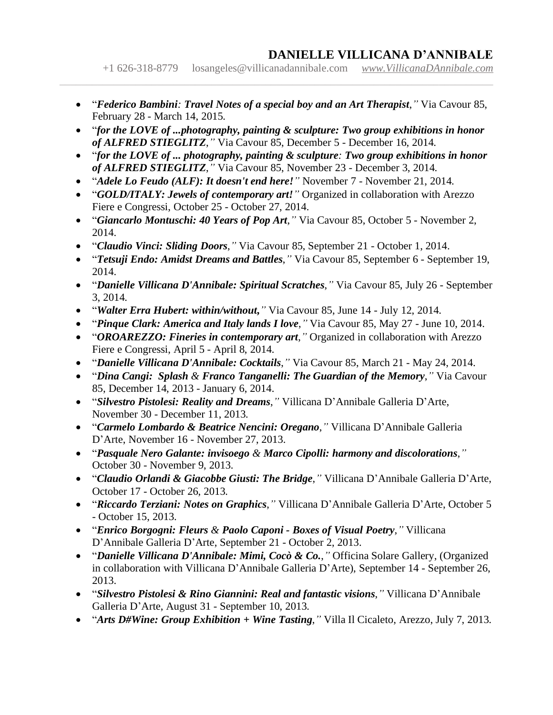+1 626-318-8779 [losangeles@villicanadannibale.com](mailto:losangeles@villicanadannibale.com) *[www.VillicanaDAnnibale.com](http://www.villicanadannibale.com/)*

• "*Federico Bambini: Travel Notes of a special boy and an Art Therapist*,*"* Via Cavour 85, February 28 - March 14, 2015.

- "*for the LOVE of ...photography, painting & sculpture: Two group exhibitions in honor of ALFRED STIEGLITZ*,*"* Via Cavour 85, December 5 - December 16, 2014.
- "*for the LOVE of ... photography, painting & sculpture: Two group exhibitions in honor of ALFRED STIEGLITZ*,*"* Via Cavour 85, November 23 - December 3, 2014.
- "*Adele Lo Feudo (ALF): It doesn't end here!"* November 7 November 21, 2014.
- "*GOLD/ITALY: Jewels of contemporary art!"* Organized in collaboration with Arezzo Fiere e Congressi, October 25 - October 27, 2014.
- "*Giancarlo Montuschi: 40 Years of Pop Art*,*"* Via Cavour 85, October 5 November 2, 2014.
- "*Claudio Vinci: Sliding Doors*,*"* Via Cavour 85, September 21 October 1, 2014.
- "*Tetsuji Endo: Amidst Dreams and Battles*,*"* Via Cavour 85, September 6 September 19, 2014.
- "*Danielle Villicana D'Annibale: Spiritual Scratches*,*"* Via Cavour 85, July 26 September 3, 2014.
- "*Walter Erra Hubert: within/without***,***"* Via Cavour 85, June 14 July 12, 2014.
- "*Pinque Clark: America and Italy lands I love*,*"* Via Cavour 85, May 27 June 10, 2014.
- "*OROAREZZO: Fineries in contemporary art*,*"* Organized in collaboration with Arezzo Fiere e Congressi, April 5 - April 8, 2014.
- "*Danielle Villicana D'Annibale: Cocktails*,*"* Via Cavour 85, March 21 May 24, 2014.
- "*Dina Cangi: Splash & Franco Tanganelli: The Guardian of the Memory*,*"* Via Cavour 85, December 14, 2013 - January 6, 2014.
- "*Silvestro Pistolesi: Reality and Dreams*,*"* Villicana D'Annibale Galleria D'Arte, November 30 - December 11, 2013.
- "*Carmelo Lombardo & Beatrice Nencini: Oregano*,*"* Villicana D'Annibale Galleria D'Arte, November 16 - November 27, 2013.
- "*Pasquale Nero Galante: invisoego & Marco Cipolli: harmony and discolorations*,*"* October 30 - November 9, 2013.
- "*Claudio Orlandi & Giacobbe Giusti: The Bridge*,*"* Villicana D'Annibale Galleria D'Arte, October 17 - October 26, 2013.
- "*Riccardo Terziani: Notes on Graphics*,*"* Villicana D'Annibale Galleria D'Arte, October 5 - October 15, 2013.
- "*Enrico Borgogni: Fleurs & Paolo Caponi - Boxes of Visual Poetry*,*"* Villicana D'Annibale Galleria D'Arte, September 21 - October 2, 2013.
- "*Danielle Villicana D'Annibale: Mimi, Cocò & Co.*,*"* Officina Solare Gallery, (Organized in collaboration with Villicana D'Annibale Galleria D'Arte), September 14 - September 26, 2013.
- "*Silvestro Pistolesi & Rino Giannini: Real and fantastic visions*,*"* Villicana D'Annibale Galleria D'Arte, August 31 - September 10, 2013.
- "*Arts D#Wine: Group Exhibition + Wine Tasting*,*"* Villa Il Cicaleto, Arezzo, July 7, 2013.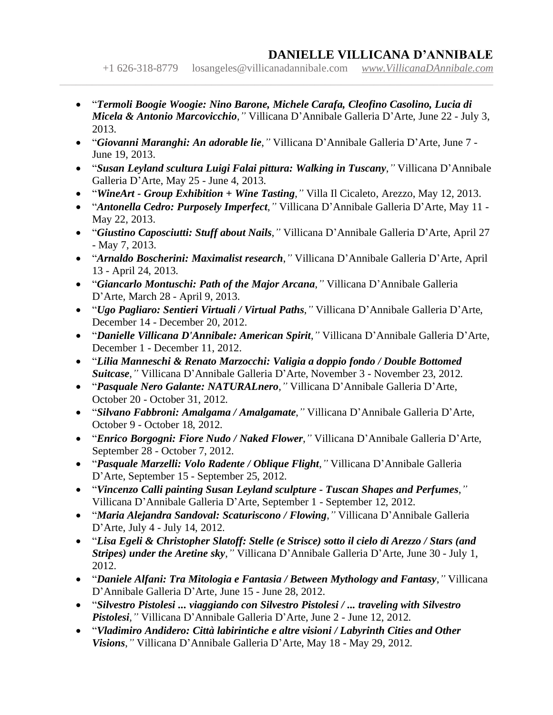+1 626-318-8779 [losangeles@villicanadannibale.com](mailto:losangeles@villicanadannibale.com) *[www.VillicanaDAnnibale.com](http://www.villicanadannibale.com/)*

• "*Termoli Boogie Woogie: Nino Barone, Michele Carafa, Cleofino Casolino, Lucia di Micela & Antonio Marcovicchio*,*"* Villicana D'Annibale Galleria D'Arte, June 22 - July 3, 2013.

- "*Giovanni Maranghi: An adorable lie*,*"* Villicana D'Annibale Galleria D'Arte, June 7 June 19, 2013.
- "*Susan Leyland scultura Luigi Falai pittura: Walking in Tuscany*,*"* Villicana D'Annibale Galleria D'Arte, May 25 - June 4, 2013.
- "*WineArt - Group Exhibition + Wine Tasting*,*"* Villa Il Cicaleto, Arezzo, May 12, 2013.
- "*Antonella Cedro: Purposely Imperfect*,*"* Villicana D'Annibale Galleria D'Arte, May 11 May 22, 2013.
- "*Giustino Caposciutti: Stuff about Nails*,*"* Villicana D'Annibale Galleria D'Arte, April 27 - May 7, 2013.
- "*Arnaldo Boscherini: Maximalist research*,*"* Villicana D'Annibale Galleria D'Arte, April 13 - April 24, 2013.
- "*Giancarlo Montuschi: Path of the Major Arcana*,*"* Villicana D'Annibale Galleria D'Arte, March 28 - April 9, 2013.
- "*Ugo Pagliaro: Sentieri Virtuali / Virtual Paths*,*"* Villicana D'Annibale Galleria D'Arte, December 14 - December 20, 2012.
- "*Danielle Villicana D'Annibale: American Spirit*,*"* Villicana D'Annibale Galleria D'Arte, December 1 - December 11, 2012.
- "*Lilia Manneschi & Renato Marzocchi: Valigia a doppio fondo / Double Bottomed Suitcase*,*"* Villicana D'Annibale Galleria D'Arte, November 3 - November 23, 2012.
- "*Pasquale Nero Galante: NATURALnero*,*"* Villicana D'Annibale Galleria D'Arte, October 20 - October 31, 2012.
- "*Silvano Fabbroni: Amalgama / Amalgamate*,*"* Villicana D'Annibale Galleria D'Arte, October 9 - October 18, 2012.
- "*Enrico Borgogni: Fiore Nudo / Naked Flower*,*"* Villicana D'Annibale Galleria D'Arte, September 28 - October 7, 2012.
- "*Pasquale Marzelli: Volo Radente / Oblique Flight*,*"* Villicana D'Annibale Galleria D'Arte, September 15 - September 25, 2012.
- "*Vincenzo Calli painting Susan Leyland sculpture - Tuscan Shapes and Perfumes*,*"* Villicana D'Annibale Galleria D'Arte, September 1 - September 12, 2012.
- "*Maria Alejandra Sandoval: Scaturiscono / Flowing*,*"* Villicana D'Annibale Galleria D'Arte, July 4 - July 14, 2012.
- "*Lisa Egeli & Christopher Slatoff: Stelle (e Strisce) sotto il cielo di Arezzo / Stars (and Stripes) under the Aretine sky*,*"* Villicana D'Annibale Galleria D'Arte, June 30 - July 1, 2012.
- "*Daniele Alfani: Tra Mitologia e Fantasia / Between Mythology and Fantasy*,*"* Villicana D'Annibale Galleria D'Arte, June 15 - June 28, 2012.
- "*Silvestro Pistolesi ... viaggiando con Silvestro Pistolesi / ... traveling with Silvestro Pistolesi*,*"* Villicana D'Annibale Galleria D'Arte, June 2 - June 12, 2012.
- "*Vladimiro Andidero: Città labirintiche e altre visioni / Labyrinth Cities and Other Visions*,*"* Villicana D'Annibale Galleria D'Arte, May 18 - May 29, 2012.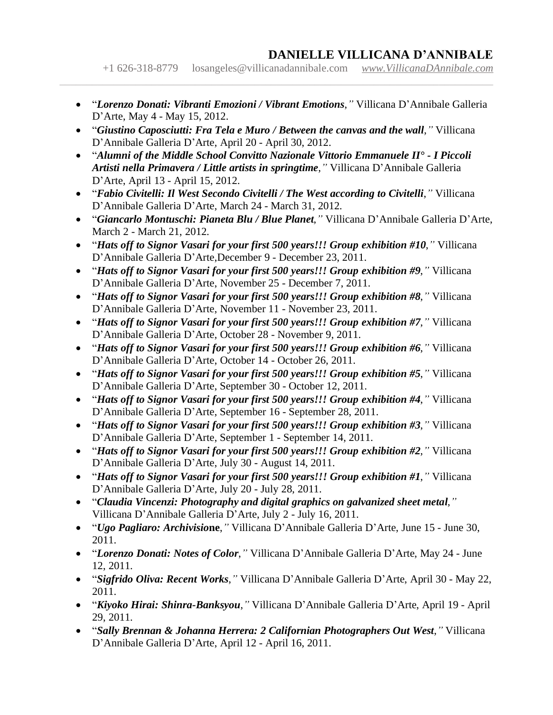+1 626-318-8779 [losangeles@villicanadannibale.com](mailto:losangeles@villicanadannibale.com) *[www.VillicanaDAnnibale.com](http://www.villicanadannibale.com/)*

- "*Lorenzo Donati: Vibranti Emozioni / Vibrant Emotions*,*"* Villicana D'Annibale Galleria D'Arte, May 4 - May 15, 2012.
- "*Giustino Caposciutti: Fra Tela e Muro / Between the canvas and the wall*,*"* Villicana D'Annibale Galleria D'Arte, April 20 - April 30, 2012.

- "*Alumni of the Middle School Convitto Nazionale Vittorio Emmanuele II° - I Piccoli Artisti nella Primavera / Little artists in springtime*,*"* Villicana D'Annibale Galleria D'Arte, April 13 - April 15, 2012.
- "*Fabio Civitelli: Il West Secondo Civitelli / The West according to Civitelli*,*"* Villicana D'Annibale Galleria D'Arte, March 24 - March 31, 2012.
- "*Giancarlo Montuschi: Pianeta Blu / Blue Planet*,*"* Villicana D'Annibale Galleria D'Arte, March 2 - March 21, 2012.
- "*Hats off to Signor Vasari for your first 500 years!!! Group exhibition #10*,*"* Villicana D'Annibale Galleria D'Arte,December 9 - December 23, 2011.
- "*Hats off to Signor Vasari for your first 500 years!!! Group exhibition #9*,*"* Villicana D'Annibale Galleria D'Arte, November 25 - December 7, 2011.
- "*Hats off to Signor Vasari for your first 500 years!!! Group exhibition #8,"* Villicana D'Annibale Galleria D'Arte, November 11 - November 23, 2011.
- "*Hats off to Signor Vasari for your first 500 years!!! Group exhibition #7*,*"* Villicana D'Annibale Galleria D'Arte, October 28 - November 9, 2011.
- "*Hats off to Signor Vasari for your first 500 years!!! Group exhibition #6*,*"* Villicana D'Annibale Galleria D'Arte, October 14 - October 26, 2011.
- "*Hats off to Signor Vasari for your first 500 years!!! Group exhibition #5*,*"* Villicana D'Annibale Galleria D'Arte, September 30 - October 12, 2011.
- *"Hats off to Signor Vasari for your first 500 years!!! Group exhibition #4," Villicana* D'Annibale Galleria D'Arte, September 16 - September 28, 2011.
- *"Hats off to Signor Vasari for your first 500 years!!! Group exhibition #3,"* Villicana D'Annibale Galleria D'Arte, September 1 - September 14, 2011.
- *"Hats off to Signor Vasari for your first 500 years!!! Group exhibition #2,"* Villicana D'Annibale Galleria D'Arte, July 30 - August 14, 2011.
- "*Hats off to Signor Vasari for your first 500 years!!! Group exhibition #1*,*"* Villicana D'Annibale Galleria D'Arte, July 20 - July 28, 2011.
- "*Claudia Vincenzi: Photography and digital graphics on galvanized sheet metal*,*"* Villicana D'Annibale Galleria D'Arte, July 2 - July 16, 2011.
- "*Ugo Pagliaro: Archivisio***ne**,*"* Villicana D'Annibale Galleria D'Arte, June 15 June 30, 2011.
- "*Lorenzo Donati: Notes of Color*,*"* Villicana D'Annibale Galleria D'Arte, May 24 June 12, 2011.
- "*Sigfrido Oliva: Recent Works*,*"* Villicana D'Annibale Galleria D'Arte, April 30 May 22, 2011.
- "*Kiyoko Hirai: Shinra-Banksyou*,*"* Villicana D'Annibale Galleria D'Arte, April 19 April 29, 2011.
- "*Sally Brennan & Johanna Herrera: 2 Californian Photographers Out West*,*"* Villicana D'Annibale Galleria D'Arte, April 12 - April 16, 2011.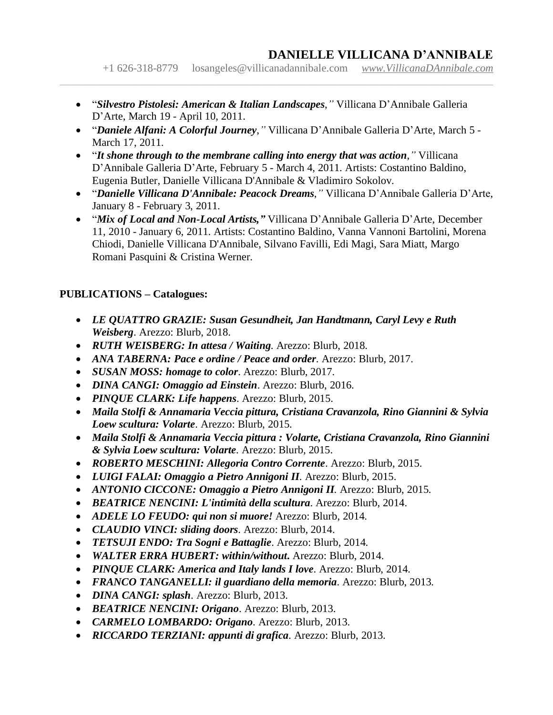+1 626-318-8779 [losangeles@villicanadannibale.com](mailto:losangeles@villicanadannibale.com) *[www.VillicanaDAnnibale.com](http://www.villicanadannibale.com/)*

• "*Silvestro Pistolesi: American & Italian Landscapes*,*"* Villicana D'Annibale Galleria D'Arte, March 19 - April 10, 2011.

 $\_$  , and the contribution of the contribution of the contribution of the contribution of the contribution of  $\mathcal{L}$ 

- "*Daniele Alfani: A Colorful Journey*,*"* Villicana D'Annibale Galleria D'Arte, March 5 March 17, 2011.
- "*It shone through to the membrane calling into energy that was action*,*"* Villicana D'Annibale Galleria D'Arte, February 5 - March 4, 2011. Artists: Costantino Baldino, Eugenia Butler, Danielle Villicana D'Annibale & Vladimiro Sokolov.
- "*Danielle Villicana D'Annibale: Peacock Dreams*,*"* Villicana D'Annibale Galleria D'Arte, January 8 - February 3, 2011.
- "*Mix of Local and Non-Local Artists,"* Villicana D'Annibale Galleria D'Arte, December 11, 2010 - January 6, 2011. Artists: Costantino Baldino, Vanna Vannoni Bartolini, Morena Chiodi, Danielle Villicana D'Annibale, Silvano Favilli, Edi Magi, Sara Miatt, Margo Romani Pasquini & Cristina Werner.

#### **PUBLICATIONS – Catalogues:**

- *LE QUATTRO GRAZIE: Susan Gesundheit, Jan Handtmann, Caryl Levy e Ruth Weisberg*. Arezzo: Blurb, 2018.
- *RUTH WEISBERG: In attesa / Waiting*. Arezzo: Blurb, 2018.
- *ANA TABERNA: Pace e ordine / Peace and order*. Arezzo: Blurb, 2017.
- *SUSAN MOSS: homage to color*. Arezzo: Blurb, 2017.
- *DINA CANGI: Omaggio ad Einstein*. Arezzo: Blurb, 2016.
- *PINQUE CLARK: Life happens*. Arezzo: Blurb, 2015.
- *Maila Stolfi & Annamaria Veccia pittura, Cristiana Cravanzola, Rino Giannini & Sylvia Loew scultura: Volarte*. Arezzo: Blurb, 2015.
- *Maila Stolfi & Annamaria Veccia pittura : Volarte, Cristiana Cravanzola, Rino Giannini & Sylvia Loew scultura: Volarte*. Arezzo: Blurb, 2015.
- *ROBERTO MESCHINI: Allegoria Contro Corrente*. Arezzo: Blurb, 2015.
- *LUIGI FALAI: Omaggio a Pietro Annigoni II*. Arezzo: Blurb, 2015.
- *ANTONIO CICCONE: Omaggio a Pietro Annigoni II.* Arezzo: Blurb, 2015.
- *BEATRICE NENCINI: L'intimità della scultura*. Arezzo: Blurb, 2014.
- *ADELE LO FEUDO: qui non si muore!* Arezzo: Blurb, 2014.
- *CLAUDIO VINCI: sliding doors*. Arezzo: Blurb, 2014.
- *TETSUJI ENDO: Tra Sogni e Battaglie*. Arezzo: Blurb, 2014.
- *WALTER ERRA HUBERT: within/without***.** Arezzo: Blurb, 2014.
- *PINQUE CLARK: America and Italy lands I love*. Arezzo: Blurb, 2014.
- *FRANCO TANGANELLI: il guardiano della memoria*. Arezzo: Blurb, 2013.
- *DINA CANGI: splash*. Arezzo: Blurb, 2013.
- *BEATRICE NENCINI: Origano*. Arezzo: Blurb, 2013.
- *CARMELO LOMBARDO: Origano*. Arezzo: Blurb, 2013.
- *RICCARDO TERZIANI: appunti di grafica*. Arezzo: Blurb, 2013.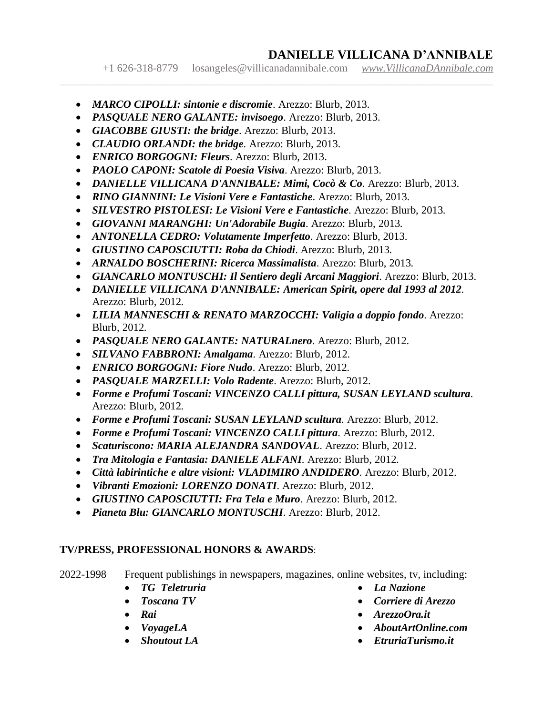+1 626-318-8779 [losangeles@villicanadannibale.com](mailto:losangeles@villicanadannibale.com) *[www.VillicanaDAnnibale.com](http://www.villicanadannibale.com/)*

 $\_$  , and the contribution of the contribution of the contribution of the contribution of the contribution of  $\mathcal{L}$ 

- *MARCO CIPOLLI: sintonie e discromie*. Arezzo: Blurb, 2013.
- *PASQUALE NERO GALANTE: invisoego*. Arezzo: Blurb, 2013.
- *GIACOBBE GIUSTI: the bridge*. Arezzo: Blurb, 2013.
- *CLAUDIO ORLANDI: the bridge*. Arezzo: Blurb, 2013.
- *ENRICO BORGOGNI: Fleurs*. Arezzo: Blurb, 2013.
- *PAOLO [CAPONI:](https://www.villicanadannibale.com/) [Scatole](https://www.villicanadannibale.com/) di Poesia Visiva*. Arezzo: Blurb, 2013.
- *DANIELLE VILLICANA D'ANNIBALE: Mimi, Cocò & Co*. Arezzo: Blurb, 2013.
- *RINO GIANNINI: Le Visioni Vere e Fantastiche*. Arezzo: Blurb, 2013.
- *SILVESTRO PISTOLESI: Le Visioni Vere e Fantastiche*. Arezzo: Blurb, 2013.
- *GIOVANNI MARANGHI: Un'Adorabile Bugia*. Arezzo: Blurb, 2013.
- *ANTONELLA CEDRO: Volutamente Imperfetto*. Arezzo: Blurb, 2013.
- *GIUSTINO CAPOSCIUTTI: Roba da Chiodi*. Arezzo: Blurb, 2013.
- *ARNALDO BOSCHERINI: Ricerca Massimalista*. Arezzo: Blurb, 2013.
- *GIANCARLO MONTUSCHI: Il Sentiero degli Arcani Maggiori*. Arezzo: Blurb, 2013.
- *DANIELLE VILLICANA D'ANNIBALE: American Spirit, opere dal 1993 al 2012*. Arezzo: Blurb, 2012.
- *LILIA MANNESCHI & RENATO MARZOCCHI: Valigia a doppio fondo*. Arezzo: Blurb, 2012.
- *PASQUALE NERO GALANTE: NATURALnero*. Arezzo: Blurb, 2012.
- *SILVANO FABBRONI: Amalgama*. Arezzo: Blurb, 2012.
- *ENRICO BORGOGNI: Fiore Nudo*. Arezzo: Blurb, 2012.
- *PASQUALE MARZELLI: Volo Radente*. Arezzo: Blurb, 2012.
- *Forme e Profumi Toscani: VINCENZO CALLI pittura, SUSAN LEYLAND scultura*. Arezzo: Blurb, 2012.
- *Forme e Profumi Toscani: SUSAN LEYLAND scultura*. Arezzo: Blurb, 2012.
- *Forme e Profumi Toscani: VINCENZO CALLI pittura*. Arezzo: Blurb, 2012.
- *Scaturiscono: MARIA ALEJANDRA SANDOVAL*. Arezzo: Blurb, 2012.
- *Tra Mitologia e Fantasia: DANIELE ALFANI*. Arezzo: Blurb, 2012.
- *Città labirintiche e altre visioni: VLADIMIRO ANDIDERO*. Arezzo: Blurb, 2012.
- *Vibranti Emozioni: LORENZO DONATI*. Arezzo: Blurb, 2012.
- *GIUSTINO CAPOSCIUTTI: Fra Tela e Muro*. Arezzo: Blurb, 2012.
- *Pianeta Blu: GIANCARLO MONTUSCHI*. Arezzo: Blurb, 2012.

#### **TV/PRESS, PROFESSIONAL HONORS & AWARDS**:

- 2022-1998 Frequent publishings in newspapers, magazines, online websites, tv, including:
	- *TG Teletruria*
	- *Toscana TV*
	- *Rai*
	- *VoyageLA*
	- *Shoutout LA*
- *La Nazione*
- *Corriere di Arezzo*
- *ArezzoOra.it*
- *AboutArtOnline.com*
- *EtruriaTurismo.it*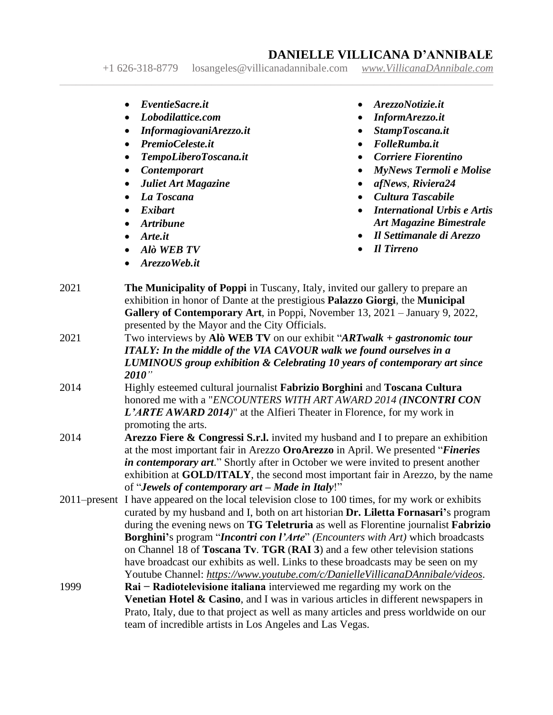+1 626-318-8779 [losangeles@villicanadannibale.com](mailto:losangeles@villicanadannibale.com) *[www.VillicanaDAnnibale.com](http://www.villicanadannibale.com/)*

- *EventieSacre.it*
- *Lobodilattice.com*
- *InformagiovaniArezzo.it*
- *PremioCeleste.it*
- *TempoLiberoToscana.it*
- *Contemporart*
- *Juliet Art Magazine*
- *La Toscana*
- *Exibart*
- *Artribune*
- *Arte.it*
- *Alò WEB TV*
- *ArezzoWeb.it*
- *ArezzoNotizie.it*
- *InformArezzo.it*
- *StampToscana.it*
- *FolleRumba.it*
- *Corriere Fiorentino*
- *MyNews Termoli e Molise*
- *afNews*, *Riviera24*
- *Cultura Tascabile*
- *International Urbis e Artis Art Magazine Bimestrale*
- *Il Settimanale di Arezzo*
- *Il Tirreno*
- 2021 **The Municipality of Poppi** in Tuscany, Italy, invited our gallery to prepare an exhibition in honor of Dante at the prestigious **Palazzo Giorgi**, the **Municipal Gallery of Contemporary Art**, in Poppi, November 13, 2021 – January 9, 2022, presented by the Mayor and the City Officials.
- 2021 Two interviews by **Alò WEB TV** on our exhibit "*ARTwalk + gastronomic tour ITALY: In the middle of the VIA CAVOUR walk we found ourselves in a LUMINOUS group exhibition & Celebrating 10 years of contemporary art since 2010"*
- 2014 Highly esteemed cultural journalist **Fabrizio Borghini** and **Toscana Cultura** honored me with a "*ENCOUNTERS WITH ART AWARD 2014 (INCONTRI CON L'ARTE AWARD 2014)*" at the Alfieri Theater in Florence, for my work in promoting the arts.
- 2014 **Arezzo Fiere & Congressi S.r.l.** invited my husband and I to prepare an exhibition at the most important fair in Arezzo **OroArezzo** in April. We presented "*Fineries in contemporary art*." Shortly after in October we were invited to present another exhibition at **GOLD/ITALY**, the second most important fair in Arezzo, by the name of "*Jewels of contemporary art – Made in Italy*!"
- 2011–present I have appeared on the local television close to 100 times, for my work or exhibits curated by my husband and I, both on art historian **Dr. Liletta Fornasari'**s program during the evening news on **TG Teletruria** as well as Florentine journalist **Fabrizio Borghini'**s program "*Incontri con l'Arte*" *(Encounters with Art)* which broadcasts on Channel 18 of **Toscana Tv**. **TGR** (**RAI 3**) and a few other television stations have broadcast our exhibits as well. Links to these broadcasts may be seen on my Youtube Channel: *<https://www.youtube.com/c/DanielleVillicanaDAnnibale/videos>*.
- 1999 **Rai − Radiotelevisione italiana** interviewed me regarding my work on the **Venetian Hotel & Casino**, and I was in various articles in different newspapers in Prato, Italy, due to that project as well as many articles and press worldwide on our team of incredible artists in Los Angeles and Las Vegas.